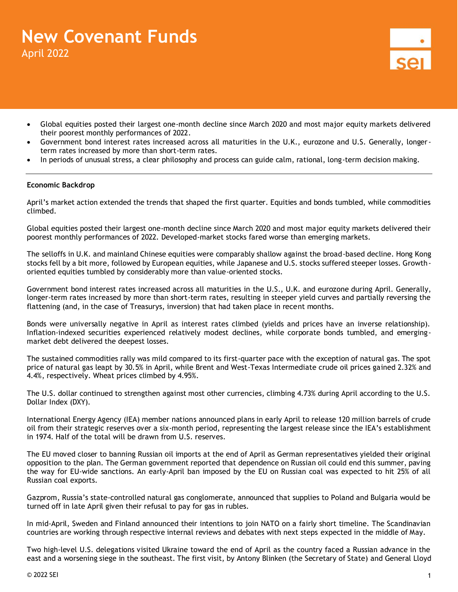# **New Covenant Funds** April 2022



- Global equities posted their largest one-month decline since March 2020 and most major equity markets delivered their poorest monthly performances of 2022.
- Government bond interest rates increased across all maturities in the U.K., eurozone and U.S. Generally, longerterm rates increased by more than short-term rates.
- In periods of unusual stress, a clear philosophy and process can guide calm, rational, long-term decision making.

## **Economic Backdrop**

April's market action extended the trends that shaped the first quarter. Equities and bonds tumbled, while commodities climbed.

Global equities posted their largest one-month decline since March 2020 and most major equity markets delivered their poorest monthly performances of 2022. Developed-market stocks fared worse than emerging markets.

The selloffs in U.K. and mainland Chinese equities were comparably shallow against the broad-based decline. Hong Kong stocks fell by a bit more, followed by European equities, while Japanese and U.S. stocks suffered steeper losses. Growthoriented equities tumbled by considerably more than value-oriented stocks.

Government bond interest rates increased across all maturities in the U.S., U.K. and eurozone during April. Generally, longer-term rates increased by more than short-term rates, resulting in steeper yield curves and partially reversing the flattening (and, in the case of Treasurys, inversion) that had taken place in recent months.

Bonds were universally negative in April as interest rates climbed (yields and prices have an inverse relationship). Inflation-indexed securities experienced relatively modest declines, while corporate bonds tumbled, and emergingmarket debt delivered the deepest losses.

The sustained commodities rally was mild compared to its first-quarter pace with the exception of natural gas. The spot price of natural gas leapt by 30.5% in April, while Brent and West-Texas Intermediate crude oil prices gained 2.32% and 4.4%, respectively. Wheat prices climbed by 4.95%.

The U.S. dollar continued to strengthen against most other currencies, climbing 4.73% during April according to the U.S. Dollar Index (DXY).

International Energy Agency (IEA) member nations announced plans in early April to release 120 million barrels of crude oil from their strategic reserves over a six-month period, representing the largest release since the IEA's establishment in 1974. Half of the total will be drawn from U.S. reserves.

The EU moved closer to banning Russian oil imports at the end of April as German representatives yielded their original opposition to the plan. The German government reported that dependence on Russian oil could end this summer, paving the way for EU-wide sanctions. An early-April ban imposed by the EU on Russian coal was expected to hit 25% of all Russian coal exports.

Gazprom, Russia's state-controlled natural gas conglomerate, announced that supplies to Poland and Bulgaria would be turned off in late April given their refusal to pay for gas in rubles.

In mid-April, Sweden and Finland announced their intentions to join NATO on a fairly short timeline. The Scandinavian countries are working through respective internal reviews and debates with next steps expected in the middle of May.

Two high-level U.S. delegations visited Ukraine toward the end of April as the country faced a Russian advance in the east and a worsening siege in the southeast. The first visit, by Antony Blinken (the Secretary of State) and General Lloyd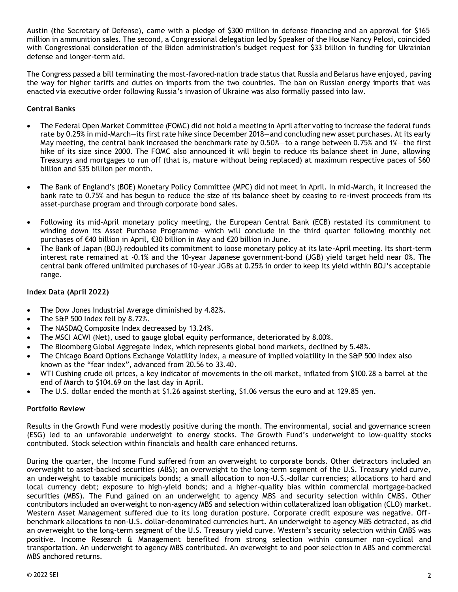Austin (the Secretary of Defense), came with a pledge of \$300 million in defense financing and an approval for \$165 million in ammunition sales. The second, a Congressional delegation led by Speaker of the House Nancy Pelosi, coincided with Congressional consideration of the Biden administration's budget request for \$33 billion in funding for Ukrainian defense and longer-term aid.

The Congress passed a bill terminating the most-favored-nation trade status that Russia and Belarus have enjoyed, paving the way for higher tariffs and duties on imports from the two countries. The ban on Russian energy imports that was enacted via executive order following Russia's invasion of Ukraine was also formally passed into law.

## **Central Banks**

- The Federal Open Market Committee (FOMC) did not hold a meeting in April after voting to increase the federal funds rate by 0.25% in mid-March—its first rate hike since December 2018—and concluding new asset purchases. At its early May meeting, the central bank increased the benchmark rate by 0.50%—to a range between 0.75% and 1%—the first hike of its size since 2000. The FOMC also announced it will begin to reduce its balance sheet in June, allowing Treasurys and mortgages to run off (that is, mature without being replaced) at maximum respective paces of \$60 billion and \$35 billion per month.
- The Bank of England's (BOE) Monetary Policy Committee (MPC) did not meet in April. In mid-March, it increased the bank rate to 0.75% and has begun to reduce the size of its balance sheet by ceasing to re-invest proceeds from its asset-purchase program and through corporate bond sales.
- Following its mid-April monetary policy meeting, the European Central Bank (ECB) restated its commitment to winding down its Asset Purchase Programme—which will conclude in the third quarter following monthly net purchases of €40 billion in April, €30 billion in May and €20 billion in June.
- The Bank of Japan (BOJ) redoubled its commitment to loose monetary policy at its late-April meeting. Its short-term interest rate remained at -0.1% and the 10-year Japanese government-bond (JGB) yield target held near 0%. The central bank offered unlimited purchases of 10-year JGBs at 0.25% in order to keep its yield within BOJ's acceptable range.

## **Index Data (April 2022)**

- The Dow Jones Industrial Average diminished by 4.82%.
- The S&P 500 Index fell by 8.72%.
- The NASDAQ Composite Index decreased by 13.24%.
- The MSCI ACWI (Net), used to gauge global equity performance, deteriorated by 8.00%.
- The Bloomberg Global Aggregate Index, which represents global bond markets, declined by 5.48%.
- The Chicago Board Options Exchange Volatility Index, a measure of implied volatility in the S&P 500 Index also known as the "fear index", advanced from 20.56 to 33.40.
- WTI Cushing crude oil prices, a key indicator of movements in the oil market, inflated from \$100.28 a barrel at the end of March to \$104.69 on the last day in April.
- The U.S. dollar ended the month at \$1.26 against sterling, \$1.06 versus the euro and at 129.85 yen.

## **Portfolio Review**

Results in the Growth Fund were modestly positive during the month. The environmental, social and governance screen (ESG) led to an unfavorable underweight to energy stocks. The Growth Fund's underweight to low-quality stocks contributed. Stock selection within financials and health care enhanced returns.

During the quarter, the Income Fund suffered from an overweight to corporate bonds. Other detractors included an overweight to asset-backed securities (ABS); an overweight to the long-term segment of the U.S. Treasury yield curve, an underweight to taxable municipals bonds; a small allocation to non-U.S.-dollar currencies; allocations to hard and local currency debt; exposure to high-yield bonds; and a higher-quality bias within commercial mortgage-backed securities (MBS). The Fund gained on an underweight to agency MBS and security selection within CMBS. Other contributors included an overweight to non-agency MBS and selection within collateralized loan obligation (CLO) market. Western Asset Management suffered due to its long duration posture. Corporate credit exposure was negative. Offbenchmark allocations to non-U.S. dollar-denominated currencies hurt. An underweight to agency MBS detracted, as did an overweight to the long-term segment of the U.S. Treasury yield curve. Western's security selection within CMBS was positive. Income Research & Management benefited from strong selection within consumer non-cyclical and transportation. An underweight to agency MBS contributed. An overweight to and poor selection in ABS and commercial MBS anchored returns.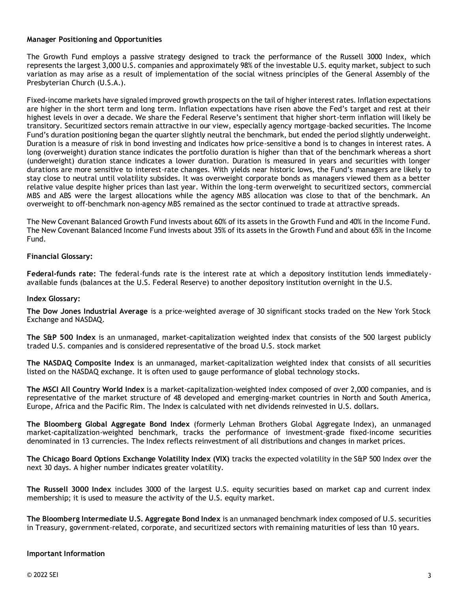## **Manager Positioning and Opportunities**

The Growth Fund employs a passive strategy designed to track the performance of the Russell 3000 Index, which represents the largest 3,000 U.S. companies and approximately 98% of the investable U.S. equity market, subject to such variation as may arise as a result of implementation of the social witness principles of the General Assembly of the Presbyterian Church (U.S.A.).

Fixed-income markets have signaled improved growth prospects on the tail of higher interest rates. Inflation expectations are higher in the short term and long term. Inflation expectations have risen above the Fed's target and rest at their highest levels in over a decade. We share the Federal Reserve's sentiment that higher short-term inflation will likely be transitory. Securitized sectors remain attractive in our view, especially agency mortgage-backed securities. The Income Fund's duration positioning began the quarter slightly neutral the benchmark, but ended the period slightly underweight. Duration is a measure of risk in bond investing and indicates how price-sensitive a bond is to changes in interest rates. A long (overweight) duration stance indicates the portfolio duration is higher than that of the benchmark whereas a short (underweight) duration stance indicates a lower duration. Duration is measured in years and securities with longer durations are more sensitive to interest-rate changes. With yields near historic lows, the Fund's managers are likely to stay close to neutral until volatility subsides. It was overweight corporate bonds as managers viewed them as a better relative value despite higher prices than last year. Within the long-term overweight to securitized sectors, commercial MBS and ABS were the largest allocations while the agency MBS allocation was close to that of the benchmark. An overweight to off-benchmark non-agency MBS remained as the sector continued to trade at attractive spreads.

The New Covenant Balanced Growth Fund invests about 60% of its assets in the Growth Fund and 40% in the Income Fund. The New Covenant Balanced Income Fund invests about 35% of its assets in the Growth Fund and about 65% in the Income Fund.

## **Financial Glossary:**

**Federal-funds rate:** The federal-funds rate is the interest rate at which a depository institution lends immediatelyavailable funds (balances at the U.S. Federal Reserve) to another depository institution overnight in the U.S.

#### **Index Glossary:**

**The Dow Jones Industrial Average** is a price-weighted average of 30 significant stocks traded on the New York Stock Exchange and NASDAQ.

**The S&P 500 Index** is an unmanaged, market-capitalization weighted index that consists of the 500 largest publicly traded U.S. companies and is considered representative of the broad U.S. stock market

**The NASDAQ Composite Index** is an unmanaged, market-capitalization weighted index that consists of all securities listed on the NASDAQ exchange. It is often used to gauge performance of global technology stocks.

**The MSCI All Country World Index** is a market-capitalization-weighted index composed of over 2,000 companies, and is representative of the market structure of 48 developed and emerging-market countries in North and South America, Europe, Africa and the Pacific Rim. The Index is calculated with net dividends reinvested in U.S. dollars.

**The Bloomberg Global Aggregate Bond Index** (formerly Lehman Brothers Global Aggregate Index), an unmanaged market-capitalization-weighted benchmark, tracks the performance of investment-grade fixed-income securities denominated in 13 currencies. The Index reflects reinvestment of all distributions and changes in market prices.

**The Chicago Board Options Exchange Volatility Index (VIX)** tracks the expected volatility in the S&P 500 Index over the next 30 days. A higher number indicates greater volatility.

**The Russell 3000 Index** includes 3000 of the largest U.S. equity securities based on market cap and current index membership; it is used to measure the activity of the U.S. equity market.

**The Bloomberg Intermediate U.S. Aggregate Bond Index** is an unmanaged benchmark index composed of U.S. securities in Treasury, government-related, corporate, and securitized sectors with remaining maturities of less than 10 years.

#### **Important Information**